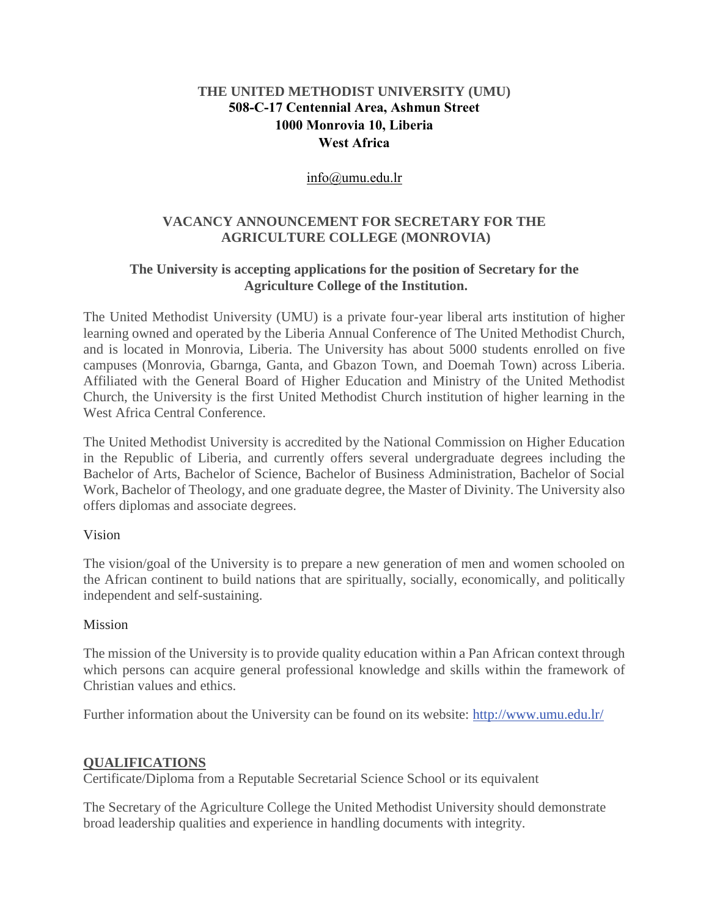## **THE UNITED METHODIST UNIVERSITY (UMU) 508-C-17 Centennial Area, Ashmun Street 1000 Monrovia 10, Liberia West Africa**

#### [info@umu.edu.lr](mailto:info@umu.edu.lr)

### **VACANCY ANNOUNCEMENT FOR SECRETARY FOR THE AGRICULTURE COLLEGE (MONROVIA)**

### **The University is accepting applications for the position of Secretary for the Agriculture College of the Institution.**

The United Methodist University (UMU) is a private four-year liberal arts institution of higher learning owned and operated by the Liberia Annual Conference of The United Methodist Church, and is located in Monrovia, Liberia. The University has about 5000 students enrolled on five campuses (Monrovia, Gbarnga, Ganta, and Gbazon Town, and Doemah Town) across Liberia. Affiliated with the General Board of Higher Education and Ministry of the United Methodist Church, the University is the first United Methodist Church institution of higher learning in the West Africa Central Conference.

The United Methodist University is accredited by the National Commission on Higher Education in the Republic of Liberia, and currently offers several undergraduate degrees including the Bachelor of Arts, Bachelor of Science, Bachelor of Business Administration, Bachelor of Social Work, Bachelor of Theology, and one graduate degree, the Master of Divinity. The University also offers diplomas and associate degrees.

#### Vision

The vision/goal of the University is to prepare a new generation of men and women schooled on the African continent to build nations that are spiritually, socially, economically, and politically independent and self-sustaining.

#### Mission

The mission of the University is to provide quality education within a Pan African context through which persons can acquire general professional knowledge and skills within the framework of Christian values and ethics.

Further information about the University can be found on its website: [http://www.umu.edu.lr/](about:blank)

#### **QUALIFICATIONS**

Certificate/Diploma from a Reputable Secretarial Science School or its equivalent

The Secretary of the Agriculture College the United Methodist University should demonstrate broad leadership qualities and experience in handling documents with integrity.